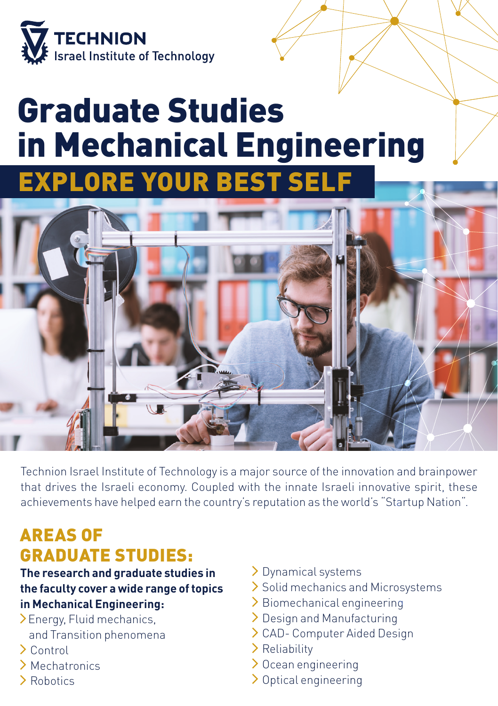

## Graduate Studies in Mechanical Engineering **EXPLORE YOUR BEST SEL**



Technion Israel Institute of Technology is a major source of the innovation and brainpower that drives the Israeli economy. Coupled with the innate Israeli innovative spirit, these achievements have helped earn the country's reputation as the world's "Startup Nation".

### AREAS OF GRADUATE STUDIES:

**The research and graduate studies in the faculty cover a wide range of topics in Mechanical Engineering:**

- Energy, Fluid mechanics, and Transition phenomena
- Control
- Mechatronics
- > Robotics
- > Dynamical systems
- > Solid mechanics and Microsystems
- > Biomechanical engineering
- > Design and Manufacturing
- CAD- Computer Aided Design
- > Reliability
- $\geq 0$ cean engineering
- > Optical engineering